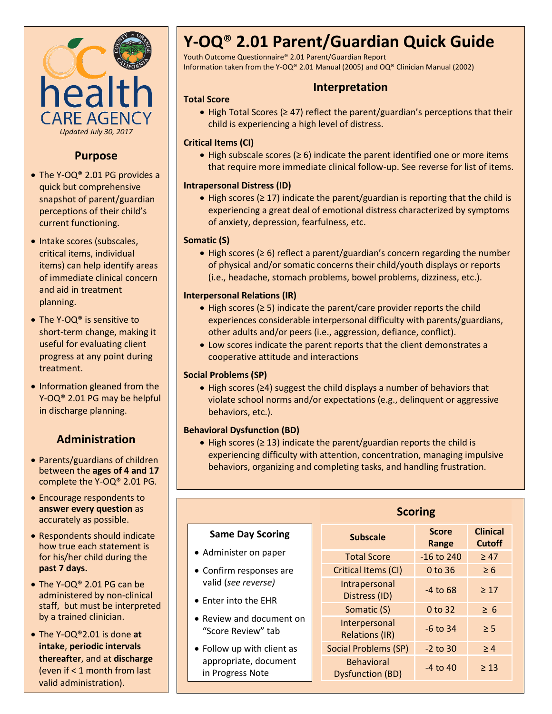

## **Purpose**

- The Y-OQ® 2.01 PG provides a quick but comprehensive snapshot of parent/guardian perceptions of their child's current functioning.
- Intake scores (subscales, critical items, individual items) can help identify areas of immediate clinical concern and aid in treatment planning.
- The Y-OQ® is sensitive to short-term change, making it useful for evaluating client progress at any point during treatment.
- Information gleaned from the Y-OQ® 2.01 PG may be helpful in discharge planning.

## **Administration**

- Parents/guardians of children between the **ages of 4 and 17**  complete the Y-OQ® 2.01 PG.
- Encourage respondents to **answer every question** as accurately as possible.
- Respondents should indicate how true each statement is for his/her child during the **past 7 days.**
- The Y-OQ® 2.01 PG can be administered by non-clinical staff, but must be interpreted by a trained clinician.
- The Y-OQ®2.01 is done **at intake**, **periodic intervals thereafter**, and at **discharge** (even if < 1 month from last valid administration).

# **Y-OQ**® **2.01 Parent/Guardian Quick Guide**

Youth Outcome Questionnaire® 2.01 Parent/Guardian Report Information taken from the Y-OQ® 2.01 Manual (2005) and OQ® Clinician Manual (2002)

## **Interpretation**

 High Total Scores (≥ 47) reflect the parent/guardian's perceptions that their child is experiencing a high level of distress.

#### **Critical Items (CI)**

**Total Score**

 High subscale scores (≥ 6) indicate the parent identified one or more items that require more immediate clinical follow-up. See reverse for list of items.

#### **Intrapersonal Distress (ID)**

 High scores (≥ 17) indicate the parent/guardian is reporting that the child is experiencing a great deal of emotional distress characterized by symptoms of anxiety, depression, fearfulness, etc.

#### **Somatic (S)**

 High scores (≥ 6) reflect a parent/guardian's concern regarding the number of physical and/or somatic concerns their child/youth displays or reports (i.e., headache, stomach problems, bowel problems, dizziness, etc.).

#### **Interpersonal Relations (IR)**

- High scores (≥ 5) indicate the parent/care provider reports the child experiences considerable interpersonal difficulty with parents/guardians, other adults and/or peers (i.e., aggression, defiance, conflict).
- Low scores indicate the parent reports that the client demonstrates a cooperative attitude and interactions

#### **Social Problems (SP)**

 High scores (≥4) suggest the child displays a number of behaviors that violate school norms and/or expectations (e.g., delinquent or aggressive behaviors, etc.).

#### **Behavioral Dysfunction (BD)**

 High scores (≥ 13) indicate the parent/guardian reports the child is experiencing difficulty with attention, concentration, managing impulsive behaviors, organizing and completing tasks, and handling frustration.

|                                                | <b>Scoring</b>                               |                       |                                  |
|------------------------------------------------|----------------------------------------------|-----------------------|----------------------------------|
| <b>Same Day Scoring</b>                        | <b>Subscale</b>                              | <b>Score</b><br>Range | <b>Clinical</b><br><b>Cutoff</b> |
| • Administer on paper                          | <b>Total Score</b>                           | $-16$ to 240          | $\geq 47$                        |
| • Confirm responses are                        | Critical Items (CI)                          | $0$ to 36             | $\geq 6$                         |
| valid (see reverse)<br>• Enter into the EHR    | Intrapersonal<br>Distress (ID)               | $-4$ to 68            | $\geq 17$                        |
|                                                | Somatic (S)                                  | $0$ to 32             | $\geq 6$                         |
| • Review and document on<br>"Score Review" tab | Interpersonal<br><b>Relations (IR)</b>       | $-6$ to 34            | $\geq$ 5                         |
| • Follow up with client as                     | <b>Social Problems (SP)</b>                  | $-2$ to 30            | $\geq 4$                         |
| appropriate, document<br>in Progress Note      | <b>Behavioral</b><br><b>Dysfunction (BD)</b> | $-4$ to $40$          | $\geq 13$                        |

#### **Scoring**